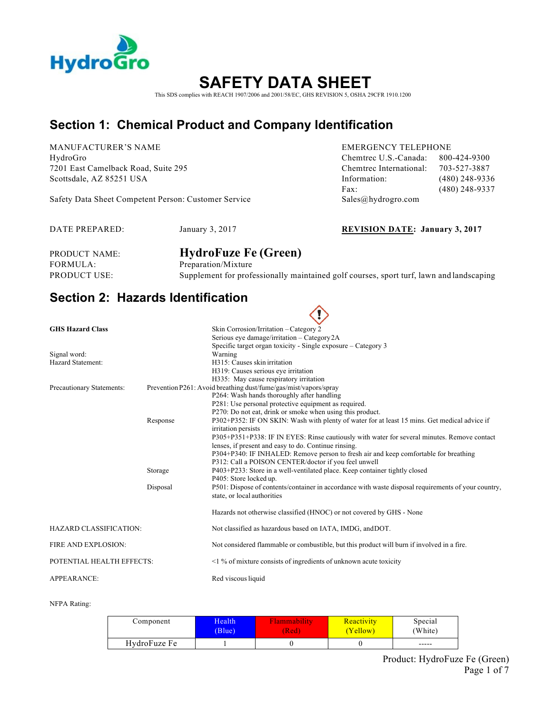

# **SAFETY DATA SHEET**

This SDS complies with REACH 1907/2006 and 2001/58/EC, GHS REVISION 5, OSHA 29CFR 1910.1200

## **Section 1: Chemical Product and Company Identification**

MANUFACTURER'S NAME EMERGENCY TELEPHONE

Safety Data Sheet Competent Person: Customer Service Sales@hydrogro.com

HydroGro Chemtrec U.S.-Canada: 800-424-9300 7201 East Camelback Road, Suite 295 Chemtrec International: 703-527-3887 Scottsdale, AZ 85251 USA **Information:** (480) 248-9336 Fax: (480) 248-9337

DATE PREPARED: January 3, 2017 **REVISION DATE: January 3, 2017**

| PRODUCT NAME: | <b>HydroFuze Fe (Green)</b>                                                             |
|---------------|-----------------------------------------------------------------------------------------|
| FORMULA: \    | Preparation/Mixture                                                                     |
| PRODUCT USE:  | Supplement for professionally maintained golf courses, sport turf, lawn and landscaping |

 $\curvearrowright$ 

### **Section 2: Hazards Identification**

|                               |          | . č.                                                                                                |
|-------------------------------|----------|-----------------------------------------------------------------------------------------------------|
| <b>GHS Hazard Class</b>       |          | Skin Corrosion/Irritation - Category 2                                                              |
|                               |          | Serious eye damage/irritation - Category 2A                                                         |
|                               |          | Specific target organ toxicity - Single exposure – Category 3                                       |
| Signal word:                  |          | Warning                                                                                             |
| Hazard Statement:             |          | H315: Causes skin irritation                                                                        |
|                               |          | H319: Causes serious eye irritation                                                                 |
|                               |          | H335: May cause respiratory irritation                                                              |
| Precautionary Statements:     |          | Prevention P261: Avoid breathing dust/fume/gas/mist/vapors/spray                                    |
|                               |          | P264: Wash hands thoroughly after handling                                                          |
|                               |          | P281: Use personal protective equipment as required.                                                |
|                               |          | P270: Do not eat, drink or smoke when using this product.                                           |
|                               | Response | P302+P352: IF ON SKIN: Wash with plenty of water for at least 15 mins. Get medical advice if        |
|                               |          | irritation persists                                                                                 |
|                               |          | P305+P351+P338: IF IN EYES: Rinse cautiously with water for several minutes. Remove contact         |
|                               |          | lenses, if present and easy to do. Continue rinsing.                                                |
|                               |          | P304+P340: IF INHALED: Remove person to fresh air and keep comfortable for breathing                |
|                               |          | P312: Call a POISON CENTER/doctor if you feel unwell                                                |
|                               | Storage  | P403+P233: Store in a well-ventilated place. Keep container tightly closed                          |
|                               |          | P405: Store locked up.                                                                              |
|                               | Disposal | P501: Dispose of contents/container in accordance with waste disposal requirements of your country, |
|                               |          | state, or local authorities                                                                         |
|                               |          | Hazards not otherwise classified (HNOC) or not covered by GHS - None                                |
| <b>HAZARD CLASSIFICATION:</b> |          | Not classified as hazardous based on IATA, IMDG, and DOT.                                           |
| FIRE AND EXPLOSION:           |          | Not considered flammable or combustible, but this product will burn if involved in a fire.          |
| POTENTIAL HEALTH EFFECTS:     |          | $\leq$ 1 % of mixture consists of ingredients of unknown acute toxicity                             |
| <b>APPEARANCE:</b>            |          | Red viscous liquid                                                                                  |

#### NFPA Rating:

| Component    | Health | Flammability | Reactivity | Special |
|--------------|--------|--------------|------------|---------|
|              | (B ue) | (Red)        | (Yellow)   | (White) |
| HydroFuze Fe |        |              |            | -----   |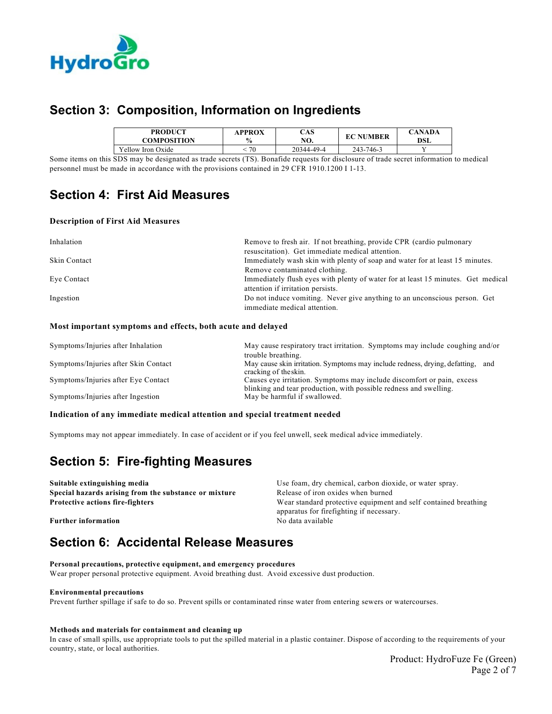

### **Section 3: Composition, Information on Ingredients**

| <b>PRODUCT</b>    | APPROX        | CAS        | ' NUMBER  | <b>CANADA</b> |
|-------------------|---------------|------------|-----------|---------------|
| COMPOSITION       | $\frac{0}{0}$ | NO.        | EС        | <b>DSL</b>    |
| Yellow Iron Oxide | 70            | 20344-49-4 | 243-746-3 |               |

Some items on this SDS may be designated as trade secrets (TS). Bonafide requests for disclosure of trade secret information to medical personnel must be made in accordance with the provisions contained in 29 CFR 1910.1200 I 1-13.

### **Section 4: First Aid Measures**

### **Description of First Aid Measures**

| Inhalation   | Remove to fresh air. If not breathing, provide CPR (cardio pulmonary             |  |
|--------------|----------------------------------------------------------------------------------|--|
|              | resuscitation). Get immediate medical attention.                                 |  |
| Skin Contact | Immediately wash skin with plenty of soap and water for at least 15 minutes.     |  |
|              | Remove contaminated clothing.                                                    |  |
| Eye Contact  | Immediately flush eyes with plenty of water for at least 15 minutes. Get medical |  |
|              | attention if irritation persists.                                                |  |
| Ingestion    | Do not induce vomiting. Never give anything to an unconscious person. Get        |  |
|              | immediate medical attention.                                                     |  |

#### **Most important symptoms and effects, both acute and delayed**

| Symptoms/Injuries after Inhalation   | May cause respiratory tract irritation. Symptoms may include coughing and/or<br>trouble breathing.                                          |
|--------------------------------------|---------------------------------------------------------------------------------------------------------------------------------------------|
| Symptoms/Injuries after Skin Contact | May cause skin irritation. Symptoms may include redness, drying, defatting, and<br>cracking of the skin.                                    |
| Symptoms/Injuries after Eye Contact  | Causes eye irritation. Symptoms may include discomfort or pain, excess<br>blinking and tear production, with possible redness and swelling. |
| Symptoms/Injuries after Ingestion    | May be harmful if swallowed.                                                                                                                |

#### **Indication of any immediate medical attention and special treatment needed**

Symptoms may not appear immediately. In case of accident or if you feel unwell, seek medical advice immediately.

### **Section 5: Fire-fighting Measures**

**Suitable extinguishing media** Use foam, dry chemical, carbon dioxide, or water spray. **Special hazards arising from the substance or mixture** Release of iron oxides when burned **Protective actions fire-fighters** Wear standard protective equipment and self contained breathing apparatus for firefighting if necessary. **Further information** No data available

### **Section 6: Accidental Release Measures**

**Personal precautions, protective equipment, and emergency procedures** Wear proper personal protective equipment. Avoid breathing dust. Avoid excessive dust production.

#### **Environmental precautions**

Prevent further spillage if safe to do so. Prevent spills or contaminated rinse water from entering sewers or watercourses.

#### **Methods and materials for containment and cleaning up**

In case of small spills, use appropriate tools to put the spilled material in a plastic container. Dispose of according to the requirements of your country, state, or local authorities.

> Product: HydroFuze Fe (Green) Page 2 of 7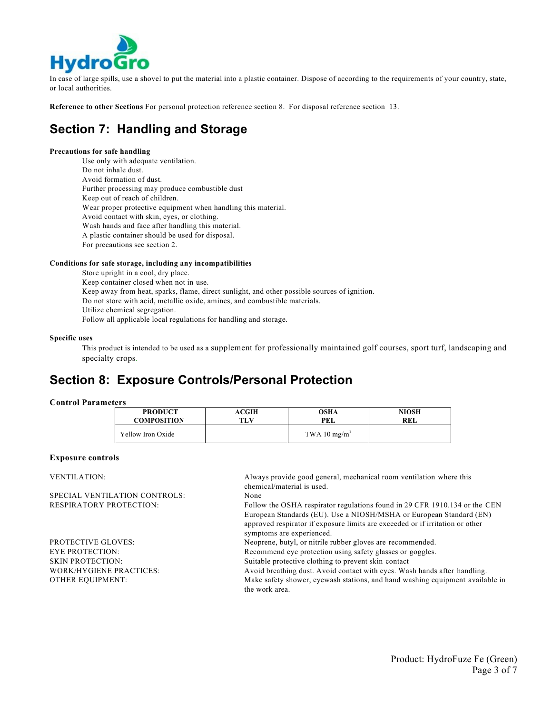

In case of large spills, use a shovel to put the material into a plastic container. Dispose of according to the requirements of your country, state, or local authorities.

**Reference to other Sections** For personal protection reference section 8. For disposal reference section 13.

### **Section 7: Handling and Storage**

#### **Precautions for safe handling**

Use only with adequate ventilation. Do not inhale dust. Avoid formation of dust. Further processing may produce combustible dust Keep out of reach of children. Wear proper protective equipment when handling this material. Avoid contact with skin, eyes, or clothing. Wash hands and face after handling this material. A plastic container should be used for disposal. For precautions see section 2.

#### **Conditions for safe storage, including any incompatibilities**

Store upright in a cool, dry place. Keep container closed when not in use. Keep away from heat, sparks, flame, direct sunlight, and other possible sources of ignition. Do not store with acid, metallic oxide, amines, and combustible materials. Utilize chemical segregation. Follow all applicable local regulations for handling and storage.

#### **Specific uses**

This product is intended to be used as a supplement for professionally maintained golf courses, sport turf, landscaping and specialty crops.

### **Section 8: Exposure Controls/Personal Protection**

### **Control Parameters**

| <b>PRODUCT</b>     | <b>ACGIH</b> | OSHA           | <b>NIOSH</b> |
|--------------------|--------------|----------------|--------------|
| <b>COMPOSITION</b> | TLV          | PEL            | REL          |
| Yellow Iron Oxide  |              | TWA 10 $mg/m3$ |              |

### **Exposure controls**

VENTILATION: Always provide good general, mechanical room ventilation where this chemical/material is used. SPECIAL VENTILATION CONTROLS: None RESPIRATORY PROTECTION: Follow the OSHA respirator regulations found in 29 CFR 1910.134 or the CEN European Standards (EU). Use a NIOSH/MSHA or European Standard (EN) approved respirator if exposure limits are exceeded or if irritation or other symptoms are experienced. PROTECTIVE GLOVES: Neoprene, butyl, or nitrile rubber gloves are recommended. EYE PROTECTION: Recommend eye protection using safety glasses or goggles. SKIN PROTECTION: Suitable protective clothing to prevent skin contact WORK/HYGIENE PRACTICES: Avoid breathing dust. Avoid contact with eyes. Wash hands after handling. OTHER EQUIPMENT: Make safety shower, eyewash stations, and hand washing equipment available in the work area.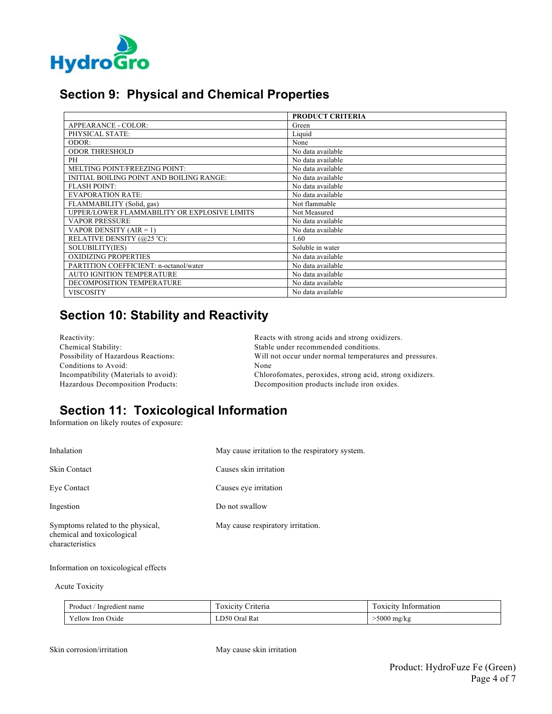

### **Section 9: Physical and Chemical Properties**

|                                              | <b>PRODUCT CRITERIA</b> |
|----------------------------------------------|-------------------------|
| APPEARANCE - COLOR:                          | Green                   |
| PHYSICAL STATE:                              | Liquid                  |
| ODOR:                                        | None                    |
| <b>ODOR THRESHOLD</b>                        | No data available       |
| PH                                           | No data available       |
| MELTING POINT/FREEZING POINT:                | No data available       |
| INITIAL BOILING POINT AND BOILING RANGE:     | No data available       |
| <b>FLASH POINT:</b>                          | No data available       |
| <b>EVAPORATION RATE:</b>                     | No data available       |
| FLAMMABILITY (Solid, gas)                    | Not flammable           |
| UPPER/LOWER FLAMMABILITY OR EXPLOSIVE LIMITS | Not Measured            |
| <b>VAPOR PRESSURE</b>                        | No data available       |
| VAPOR DENSITY $(AIR = 1)$                    | No data available       |
| RELATIVE DENSITY (@25 °C):                   | 1.60                    |
| SOLUBILITY(IES)                              | Soluble in water        |
| <b>OXIDIZING PROPERTIES</b>                  | No data available       |
| PARTITION COEFFICIENT: n-octanol/water       | No data available       |
| <b>AUTO IGNITION TEMPERATURE</b>             | No data available       |
| DECOMPOSITION TEMPERATURE                    | No data available       |
| <b>VISCOSITY</b>                             | No data available       |

## **Section 10: Stability and Reactivity**

| Reactivity:                           | Reacts with strong acids and strong oxidizers.           |
|---------------------------------------|----------------------------------------------------------|
| Chemical Stability:                   | Stable under recommended conditions.                     |
| Possibility of Hazardous Reactions:   | Will not occur under normal temperatures and pressures.  |
| Conditions to Avoid:                  | None                                                     |
| Incompatibility (Materials to avoid): | Chlorofomates, peroxides, strong acid, strong oxidizers. |
| Hazardous Decomposition Products:     | Decomposition products include iron oxides.              |

## **Section 11: Toxicological Information**

Information on likely routes of exposure:

| Inhalation                                                                         | May cause irritation to the respiratory system. |
|------------------------------------------------------------------------------------|-------------------------------------------------|
| <b>Skin Contact</b>                                                                | Causes skin irritation                          |
| Eye Contact                                                                        | Causes eye irritation                           |
| Ingestion                                                                          | Do not swallow                                  |
| Symptoms related to the physical,<br>chemical and toxicological<br>characteristics | May cause respiratory irritation.               |

Information on toxicological effects

Acute Toxicity

| Product,<br>Ingredient name | $\overline{\phantom{a}}$<br>Criteria<br>. OXICITV | $\overline{\phantom{a}}$<br>Information<br>1 OXICITV |
|-----------------------------|---------------------------------------------------|------------------------------------------------------|
| Yellow Iron Oxide           | LD50 Oral Rat                                     | ∙5000 mg/kg                                          |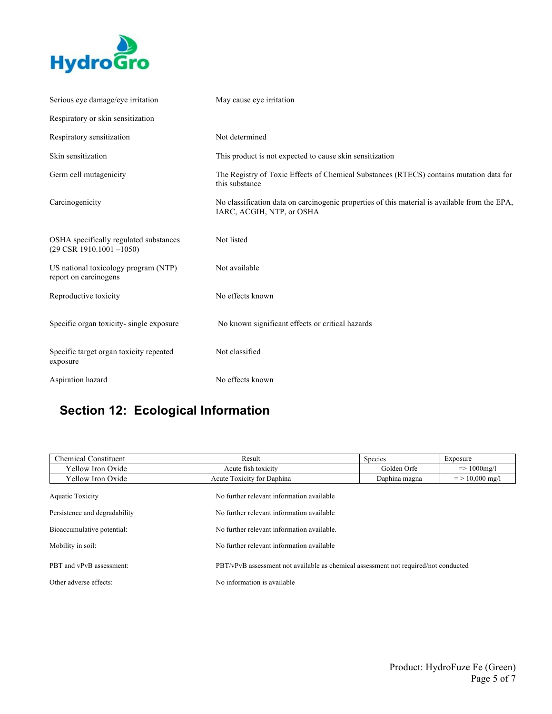

| Serious eye damage/eye irritation                                              | May cause eye irritation                                                                                                   |
|--------------------------------------------------------------------------------|----------------------------------------------------------------------------------------------------------------------------|
| Respiratory or skin sensitization                                              |                                                                                                                            |
| Respiratory sensitization                                                      | Not determined                                                                                                             |
| Skin sensitization                                                             | This product is not expected to cause skin sensitization                                                                   |
| Germ cell mutagenicity                                                         | The Registry of Toxic Effects of Chemical Substances (RTECS) contains mutation data for<br>this substance                  |
| Carcinogenicity                                                                | No classification data on carcinogenic properties of this material is available from the EPA,<br>IARC, ACGIH, NTP, or OSHA |
| OSHA specifically regulated substances<br>$(29 \text{ CSR } 1910.1001 - 1050)$ | Not listed                                                                                                                 |
| US national toxicology program (NTP)<br>report on carcinogens                  | Not available                                                                                                              |
| Reproductive toxicity                                                          | No effects known                                                                                                           |
| Specific organ toxicity-single exposure                                        | No known significant effects or critical hazards                                                                           |
| Specific target organ toxicity repeated<br>exposure                            | Not classified                                                                                                             |
| Aspiration hazard                                                              | No effects known                                                                                                           |

# **Section 12: Ecological Information**

| <b>Chemical Constituent</b>   | Result                                                                              | Species       | Exposure                |
|-------------------------------|-------------------------------------------------------------------------------------|---------------|-------------------------|
| Yellow Iron Oxide             | Acute fish toxicity                                                                 | Golden Orfe   | $\Rightarrow$ 1000 mg/l |
| Yellow Iron Oxide             | Acute Toxicity for Daphina                                                          | Daphina magna | $=$ > 10,000 mg/l       |
| Aquatic Toxicity              | No further relevant information available                                           |               |                         |
| Persistence and degradability | No further relevant information available                                           |               |                         |
| Bioaccumulative potential:    | No further relevant information available.                                          |               |                         |
| Mobility in soil:             | No further relevant information available                                           |               |                         |
| PBT and vPvB assessment:      | PBT/vPvB assessment not available as chemical assessment not required/not conducted |               |                         |
| Other adverse effects:        | No information is available                                                         |               |                         |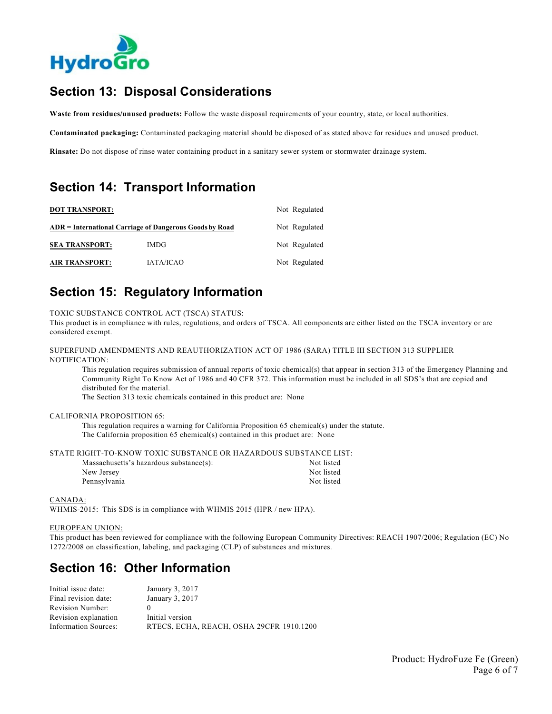

### **Section 13: Disposal Considerations**

**Waste from residues/unused products:** Follow the waste disposal requirements of your country, state, or local authorities.

**Contaminated packaging:** Contaminated packaging material should be disposed of as stated above for residues and unused product.

**Rinsate:** Do not dispose of rinse water containing product in a sanitary sewer system or stormwater drainage system.

### **Section 14: Transport Information**

| <b>DOT TRANSPORT:</b> |                                                         | Not Regulated |
|-----------------------|---------------------------------------------------------|---------------|
|                       | ADR = International Carriage of Dangerous Goods by Road | Not Regulated |
| <b>SEA TRANSPORT:</b> | <b>IMDG</b>                                             | Not Regulated |
| <b>AIR TRANSPORT:</b> | <b>IATA/ICAO</b>                                        | Not Regulated |

### **Section 15: Regulatory Information**

TOXIC SUBSTANCE CONTROL ACT (TSCA) STATUS:

This product is in compliance with rules, regulations, and orders of TSCA. All components are either listed on the TSCA inventory or are considered exempt.

SUPERFUND AMENDMENTS AND REAUTHORIZATION ACT OF 1986 (SARA) TITLE III SECTION 313 SUPPLIER NOTIFICATION:

This regulation requires submission of annual reports of toxic chemical(s) that appear in section 313 of the Emergency Planning and Community Right To Know Act of 1986 and 40 CFR 372. This information must be included in all SDS's that are copied and distributed for the material.

The Section 313 toxic chemicals contained in this product are: None

#### CALIFORNIA PROPOSITION 65:

This regulation requires a warning for California Proposition 65 chemical(s) under the statute. The California proposition 65 chemical(s) contained in this product are: None

STATE RIGHT-TO-KNOW TOXIC SUBSTANCE OR HAZARDOUS SUBSTANCE LIST:

| Massachusetts's hazardous substance(s): | Not listed |
|-----------------------------------------|------------|
| New Jersey                              | Not listed |
| Pennsylvania                            | Not listed |

CANADA:

WHMIS-2015: This SDS is in compliance with WHMIS 2015 (HPR / new HPA).

#### EUROPEAN UNION:

This product has been reviewed for compliance with the following European Community Directives: REACH 1907/2006; Regulation (EC) No 1272/2008 on classification, labeling, and packaging (CLP) of substances and mixtures.

### **Section 16: Other Information**

| Initial issue date:         | January 3, 2017                          |
|-----------------------------|------------------------------------------|
| Final revision date:        | January 3, 2017                          |
| Revision Number:            |                                          |
| Revision explanation        | Initial version                          |
| <b>Information Sources:</b> | RTECS, ECHA, REACH, OSHA 29CFR 1910.1200 |